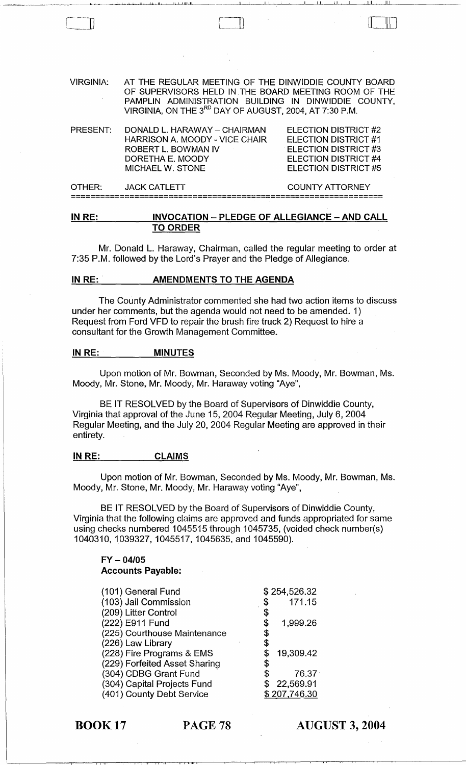| VIRGINIA: | AT THE REGULAR MEETING OF THE DINWIDDIE COUNTY BOARD<br>OF SUPERVISORS HELD IN THE BOARD MEETING ROOM OF THE<br>PAMPLIN ADMINISTRATION BUILDING IN DINWIDDIE COUNTY,<br>VIRGINIA, ON THE 3 <sup>RD</sup> DAY OF AUGUST, 2004, AT 7:30 P.M. |                                                                                                                                                         |
|-----------|--------------------------------------------------------------------------------------------------------------------------------------------------------------------------------------------------------------------------------------------|---------------------------------------------------------------------------------------------------------------------------------------------------------|
| PRESENT:  | DONALD L. HARAWAY - CHAIRMAN<br>HARRISON A. MOODY - VICE CHAIR<br>ROBERT L. BOWMAN IV<br>DORETHA E. MOODY<br>MICHAEL W. STONE                                                                                                              | <b>ELECTION DISTRICT #2</b><br><b>ELECTION DISTRICT #1</b><br><b>ELECTION DISTRICT #3</b><br><b>ELECTION DISTRICT #4</b><br><b>ELECTION DISTRICT #5</b> |

Cll

'I 1--, La comme le le Royal a-comme la comme la la comme la comme la comme la comme de la comme de la comme d<br>.

OTHER: JACK CATLETT COUNTY ATTORNEY ================================================================

## IN RE: INVOCATION - PLEDGE OF ALLEGIANCE - AND CALL TO ORDER

Mr. Donald L. Haraway, Chairman, called the regular meeting to order at 7:35 P.M. followed by the Lord's Prayer and the Pledge of Allegiance.

### IN RE: AMENDMENTS TO THE AGENDA

The County Administrator commented she had two action items to discuss under her comments, but the agenda would not need to be amended. 1) Request from Ford VFD to repair the brush fire truck 2) Request to hire a consultant for the Growth Management Committee.

#### IN RE: MINUTES

Upon motion of Mr. Bowman, Seconded by Ms. Moody, Mr. Bowman, Ms. Moody, Mr. Stone, Mr. Moody, Mr. Haraway voting "Aye",

BE IT RESOLVED by the Board of Supervisors of Dinwiddie County, Virginia that approval of the June 15, 2004 Regular Meeting, July 6, 2004 Regular Meeting, and the July 20, 2004 Regular Meeting are approved in their entirety.

#### IN RE: CLAIMS

Upon motion of Mr. Bowman, Seconded by Ms. Moody, Mr. Bowman, Ms. Moody, Mr. Stone, Mr. Moody, Mr. Haraway voting "Aye",

BE IT RESOLVED by the Board of Supervisors of Dinwiddie County, Virginia that the following claims are approved and funds appropriated for same using checks numbered 1045515 through 1045735, (voided check number(s) 1040310,1039327,1045517,1045635, and 1045590).

### FY - *04/05*  Accounts Payable:

II I, III I, III I, II, III I, II, III I, II, III I, II, III I, II, III I, III, III I, III, III, III, III, III

| (101) General Fund            | \$254,526.32    |
|-------------------------------|-----------------|
| (103) Jail Commission         | \$<br>171.15    |
| (209) Litter Control          | \$              |
| (222) E911 Fund               | \$<br>1,999.26  |
| (225) Courthouse Maintenance  | \$              |
| (226) Law Library             |                 |
| (228) Fire Programs & EMS     | 19,309.42       |
| (229) Forfeited Asset Sharing |                 |
| (304) CDBG Grant Fund         | \$<br>76.37     |
| (304) Capital Projects Fund   | \$<br>22,569.91 |
| (401) County Debt Service     | \$207,746.30    |

BOOK 17 PAGE 78

AUGUST 3, 2004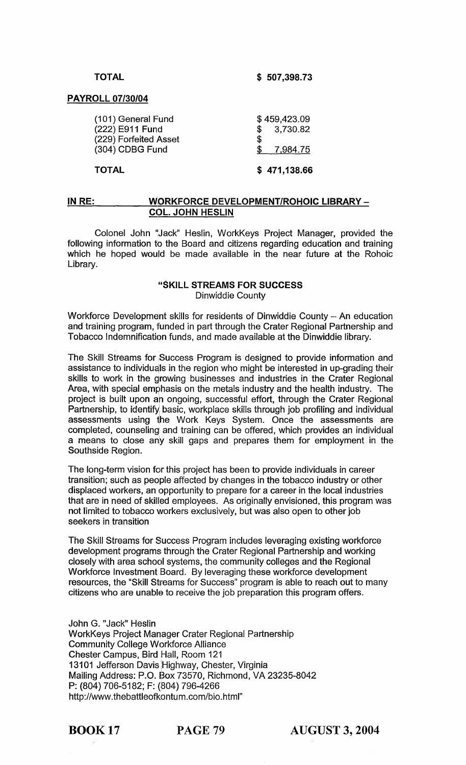## TOTAL

\$ 507,398.73

#### PAYROLL *07/30/04*

| \$471,138.66             |
|--------------------------|
| S<br>\$7,984.75          |
| \$459,423.09<br>3,730.82 |
|                          |

# IN RE: WORKFORCE DEVELOPMENT/ROHOIC LIBRARY -COL. JOHN HESLIN

Colonel John "Jack" Heslin, WorkKeys Project Manager, provided the following information to the Board and citizens regarding education and training which he hoped would be made available in the near future at the Rohoic Library.

# "SKILL STREAMS FOR SUCCESS Dinwiddie County

Workforce Development skills for residents of Dinwiddie County - An education and training program, funded in part through the Crater Regional Partnership and Tobacco Indemnification funds, and made available at the Dinwiddie library.

The Skill Streams for Success Program is designed to provide information and assistance to individuals in the region who might be interested in up-grading their skills to work in the growing businesses and industries in the Crater Regional Area, with special emphasis on the metals industry and the health industry. The project is built upon an ongoing, successful effort, through the Crater Regional Partnership, to identify basic, workplace skills through job profiling and individual assessments using the Work Keys System. Once the assessments are completed, counseling' and training can be offered, which provides an individual a means to close any skill gaps and prepares them for employment in the Southside Region.

The long-term vision for this project has been to provide individuals in career transition; such as people affected by changes in the tobacco industry or other displaced workers, an opportunity to prepare for a career in the local industries that are in need of skilled employees. As originally envisioned, this program was not limited to tobacco workers exclusively, but was also open to other job seekers in transition

The Skill Streams for Success Program includes leveraging existing workforce development programs through the Crater Regional Partnership and working closely with area school systems, the community colleges and the Regional Workforce Investment Board. By leveraging these workforce development resources, the "Skill Streams for Success" program is able to reach out to many citizens who are unable to receive the job preparation this program offers.

John G. "Jack" Heslin WorkKeys Project Manager Crater Regional Partnership Community College Workforce Alliance Chester Campus, Bird Hall, Room 121 13101 Jefferson Davis Highway, Chester, Virginia Mailing Address: P.O. Box 73570, Richmond, VA 23235-8042 P: (804) 706-5182; F: (804) 796-4266 http://www.thebattleofkontum.com/bio.html"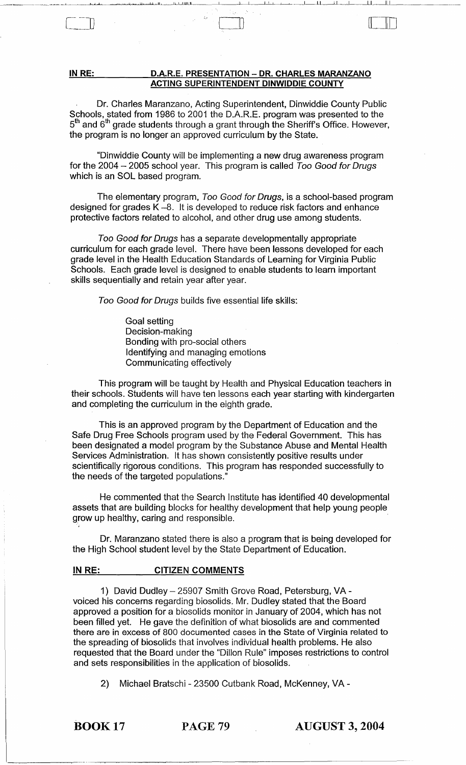#### IN RE: D.A.R.E. PRESENTATION - DR. CHARLES MARANZANO ACTING SUPERINTENDENT DINWIDDIE COUNTY

Dr. Charles Maranzano, Acting Superintendent, Dinwiddie County Public Schools, stated from 1986 to 2001 the D.A.R.E. program was presented to the  $5<sup>th</sup>$  and  $6<sup>th</sup>$  grade students through a grant through the Sheriff's Office. However, the program is no longer an approved curriculum by the State.

\_ .............................. ~ \_\_\_ ..... \_~ .......... \_'-\_'""--..L~~'----'~ ~1.....I........,ln-'--'--\_ILJ ...... l.lllILJI, \_\_\_\_ \_ ""----L \_\_ ~I~''\_L' \_'-~ LL\_-"\_LL\_.J--------LI~\_\_\_\_UII\_LI \_\_\_\_\_\_\_\_ \_

 $\Box$ 

"Dinwiddie County will be implementing a new drug awareness program for the 2004  $-$  2005 school year. This program is called Too Good for Drugs which is an SOL based program.

The elementary program, Too Good for Drugs, is a school-based program designed for grades K -8. It is developed to reduce risk factors and enhance protective factors related to alcohol, and other drug use among students.

Too Good for Drugs has a separate developmentally appropriate curriculum for each grade level. There have been lessons developed for each grade level in the Health Education Standards of Learning for Virginia Public Schools. Each grade level is designed to enable students to learn important skills sequentially and retain year after year.

Too Good for Drugs builds five essential life skills:

Goal setting Decision-making Bonding with pro-social others Identifying and managing emotions Communicating effectively

This program will be taught by Health and Physical Education teachers in their schools. Students will have ten lessons each year starting with kindergarten and completing the curriculum in the eighth grade.

This is an approved program by the Department of Education and the Safe Drug Free Schools program used by the Federal Government. This has been designated a model program by the Substance Abuse and Mental Health Services Administration. It has shown consistently positive results under scientifically rigorous conditions. This program has responded successfully to the needs of the targeted populations."

He commented that the Search Institute has identified 40 developmental assets that are building blocks for healthy development that help young people grow up healthy, caring and responsible.

Dr. Maranzano stated there is also a program that is being developed for the High School student level by the State Department of Education.

## IN RE: CITIZEN COMMENTS

1) David Dudley - 25907 Smith Grove Road, Petersburg, VA voiced his concerns regarding biosolids. Mr. Dudley stated that the Board approved a position for a biosolids monitor in January of 2004, which has not been filled yet. He gave the definition of what biosolids are and commented there are in excess of 800 documented cases in the State of Virginia related to the spreading of biosolids that involves individual health problems. He also requested that the Board under the "Dillon Rule" imposes restrictions to control and sets responsibilities in the application of biosolids.

2) Michael Bratschi - 23500 Cutbank Road, McKenney, VA -

BOOK 17 PAGE 79 AUGUST 3, 2004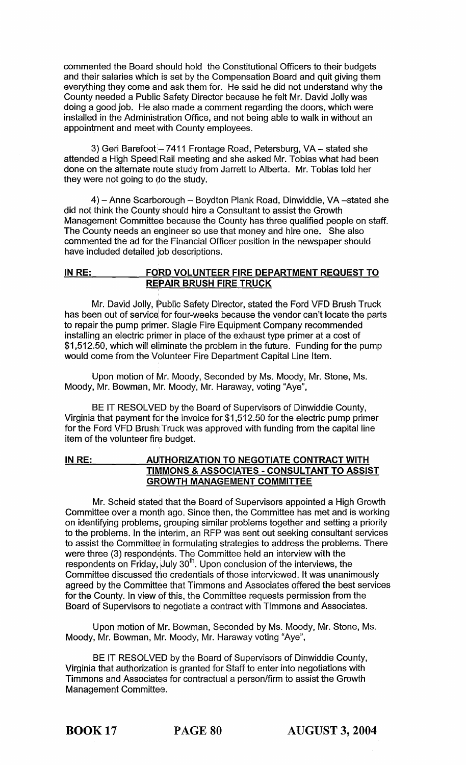commented the Board should hold the Constitutional Officers to their budgets and their salaries which is set by the Compensation Board and quit giving them everything they come and ask them for. He said he did not understand why the County needed a Public Safety Director because he felt Mr. David Jolly was doing a good job. He also made a comment regarding the doors, which were installed in the Administration Office, and not being able to walk in without an appointment and meet with County employees.

3) Geri Barefoot - 7411 Frontage Road, Petersburg, VA - stated she attended a High Speed Rail meeting and she asked Mr. Tobias what had been done on the alternate route study from Jarrett to Alberta. Mr. Tobias told her they were not going to do the study.

4) - Anne Scarborough - Boydton Plank Road, Dinwiddie, VA - stated she did not think the County should hire a Consultant to assist the Growth Management Committee because the County has three qualified people on staff. The County needs an engineer so use that money and hire one. She also commented the ad for the Financial Officer position in the newspaper should have included detailed job descriptions.

# IN RE: FORD VOLUNTEER FIRE DEPARTMENT REQUEST TO **REPAIR BRUSH FIRE TRUCK**

Mr. David Jolly, Public Safety Director, stated the Ford VFD Brush Truck has been out of service for four-weeks because the vendor can't locate the parts to repair the pump primer. Slagle Fire Equipment Company recommended installing an electric primer in place of the exhaust type primer at a cost of \$1,512.50, which will eliminate the problem in the future. Funding for the pump would come from the Volunteer Fire Department Capital Line Item.

Upon motion of Mr. Moody, Seconded by Ms. Moody, Mr. Stone, Ms. Moody, Mr. Bowman, Mr. Moody, Mr. Haraway, voting "Aye",

BE IT RESOLVED by the Board of Supervisors of Dinwiddie County, Virginia that payment for the invoice for \$1,512.50 for the electric pump primer for the Ford VFD Brush: Truck was approved with funding from the capital line item of the volunteer fire budget.

# IN RE: AUTHORIZATION TO NEGOTIATE CONTRACT WITH TIMMONS & ASSOCIATES - CONSULTANT TO ASSIST GROWTH MANAGEMENT COMMITTEE

Mr. Scheid stated that the Board of Supervisors appointed a High Growth Committee over a month ago. Since then, the Committee has met and is working on identifying problems; grouping similar problems together and setting a priority to the problems. In the interim, an RFP was sent out seeking consultant services to assist the Committee in formulating strategies to address the problems. There were three (3) respondents. The Committee held an interview with the respondents on Friday, July  $30<sup>th</sup>$ . Upon conclusion of the interviews, the Committee discussed the credentials of those interviewed. It was unanimously agreed by the Committee that Timmons and Associates offered the best services for the County. In view of this, the Committee requests permission from the Board of Supervisors to' negotiate a contract with Timmons and Associates.

Upon motion of Mr. Bowman, Seconded by Ms. Moody, Mr. Stone, Ms. Moody, Mr. Bowman, Mr. Moody, Mr. Haraway voting "Aye",

BE IT RESOLVED by the Board of Supervisors of Dinwiddie County, Virginia that authorization is granted for Staff to enter into negotiations with Timmons and Associates for contractual a person/firm to assist the Growth Management Committee.

BOOK 17 PAGE 80 AUGUST 3, 2004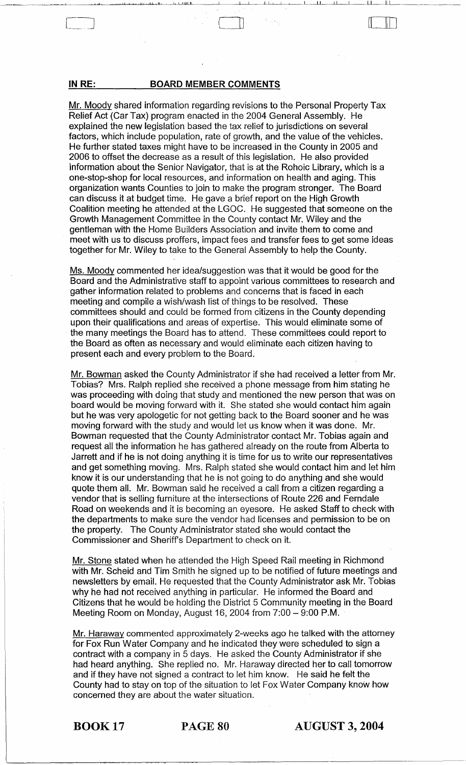### **INRE: BOARD MEMBER COMMENTS**

Mr. Moody shared information regarding revisions to the Personal Property Tax Relief Act (Car Tax) program enacted in the 2004 General Assembly. He explained the new legislation based the tax relief to jurisdictions on several factors, which include population, rate of growth, and the value of the vehicles. He further stated taxes might have to be increased in the County in 2005 and 2006 to offset the decrease as a result of this legislation. He also provided information about the Senior Navigator, that is at the Rohoic Library, which is a one-stop-shop for local resources, and information on health and aging. This organization wants Counties to join to make the program stronger. The Board can discuss it at budget time. He gave a brief report on the High Growth Coalition meeting he attended at the LGOC. He suggested that someone on the Growth Management Committee in the County contact Mr. Wiley and the gentleman with the Home Builders Association and invite them to come and *meet* with us to discuss proffers, impact fees and transfer fees to get some ideas together for Mr. Wiley to take to the General Assembly to help the County.

 $\Box$ 

..... i I .1. i.. II 1:1 ... IU~\_I ...... L ..... I.IJl1LJI ~~I-,-! -,-,\_.L~\_ I--LI II I~I\_----,Iull \_\_\_\_\_\_\_\_\_ \_

Ms. Moody commented her idea/suggestion was that it would be good for the Board and the Administrative staff to appoint various committees to research and gather information related to problems and concerns that is faced in each meeting and compile a wish/wash list of things to be resolved. These committees should and could be formed from citizens in the County depending upon their qualifications and areas of expertise. This would eliminate some of the many meetings the Board has to attend. These committees could report to the Board as often as necessary and would eliminate each citizen having to present each and every problem to the Board.

Mr. Bowman asked the County Administrator if she had received a letter from Mr. Tobias? Mrs. Ralph replied she received a phone message from him stating he was proceeding with doing that study and mentioned the new person that was on board would be moving forward with it. She stated she would contact him again but he was very apologetic for not getting back to the Board sooner and he was moving forward with the study and would let us know when it was done. Mr. Bowman requested that the County Administrator contact Mr. Tobias again and request all the information he has gathered already on the route from Alberta to Jarrett and if he is not doing anything it is time for us to write our representatives and get something moving. Mrs. Ralph stated she would contact him and let him know it is our understanding that he is not going to do anything and she would quote them all. Mr. Bowman said he received a call from a citizen regarding a vendor that is selling furniture at the intersections of Route 226 and Ferndale Road on weekends and it is becoming an eyesore. He asked Staff to check with the departments to make sure the vendor had licenses and permission to be on the property. The County Administrator stated she would contact the Commissioner and Sheriff's Department to check on it.

Mr. Stone stated when he attended the High Speed Rail meeting in Richmond with Mr. Scheid and Tim Smith he signed up to be notified of future meetings and newsletters by email. He requested that the County Administrator ask Mr. Tobias why he had not received anything in particular. He informed the Board and Citizens that he would be holding the District 5 Community meeting in the Board Meeting Room on Monday, August 16, 2004 from 7:00 - 9:00 P.M.

Mr. Haraway commented approximately 2-weeks ago he talked with the attorney for Fox Run Water Company and he indicated they were scheduled to sign a contract with a company in 5 days. He asked the County Administrator if she had heard anything. She replied no. Mr. Haraway directed her to call tomorrow and if they have not signed a contract to let him know. He said he felt the County had to stay on top of the situation to let Fox Water Company know how concerned they are about the water situation.

BOOK 17 PAGE 80 AUGUST 3, **2004**